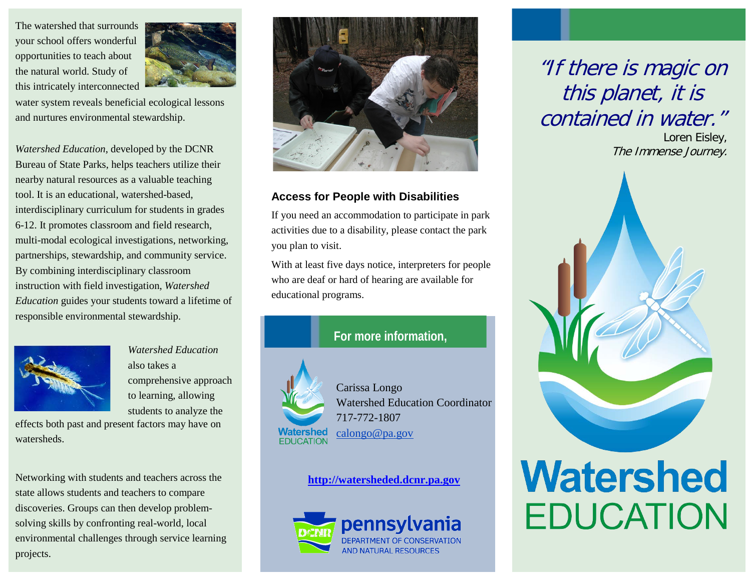The watershed that surrounds your school offers wonderful opportunities to teach about the natural world. Study of this intricately interconnected



water system reveals beneficial ecological lessons and nurtures environmental stewardship.

Bureau of State Parks, helps teachers utilize their nearby natural resources as a valuable teaching tool. It is an educational, watershed-based, interdisciplinary curriculum for students in grades 6-12. It promotes classroom and field research, multi-modal ecological investigations, networking, partnerships, stewardship, and community service. By combining interdisciplinary classroom instruction with field investigation, *Watershed Education* guides your students toward a lifetime of responsible environmental stewardship.



*Watershed Education*  also takes a comprehensive approach to learning, allowing students to analyze the

effects both past and present factors may have on watersheds.

Networking with students and teachers across the state allows students and teachers to compare discoveries. Groups can then develop problemsolving skills by confronting real-world, local environmental challenges through service learning projects.



## **Access for People with Disabilities**

If you need an accommodation to participate in park activities due to a disability, please contact the park you plan to visit.

With at least five days notice, interpreters for people who are deaf or hard of hearing are available for educational programs.



Carissa Longo Watershed Education Coordinator 717-772-1807 calongo@pa.gov

## **[http://watersheded.dcnr.pa.gov](http://watersheded.dcnr.pa.gov/)**



"If there is magic on this planet, it is contained in water."

Loren Eisley,



# **Watershed EDUCATION**